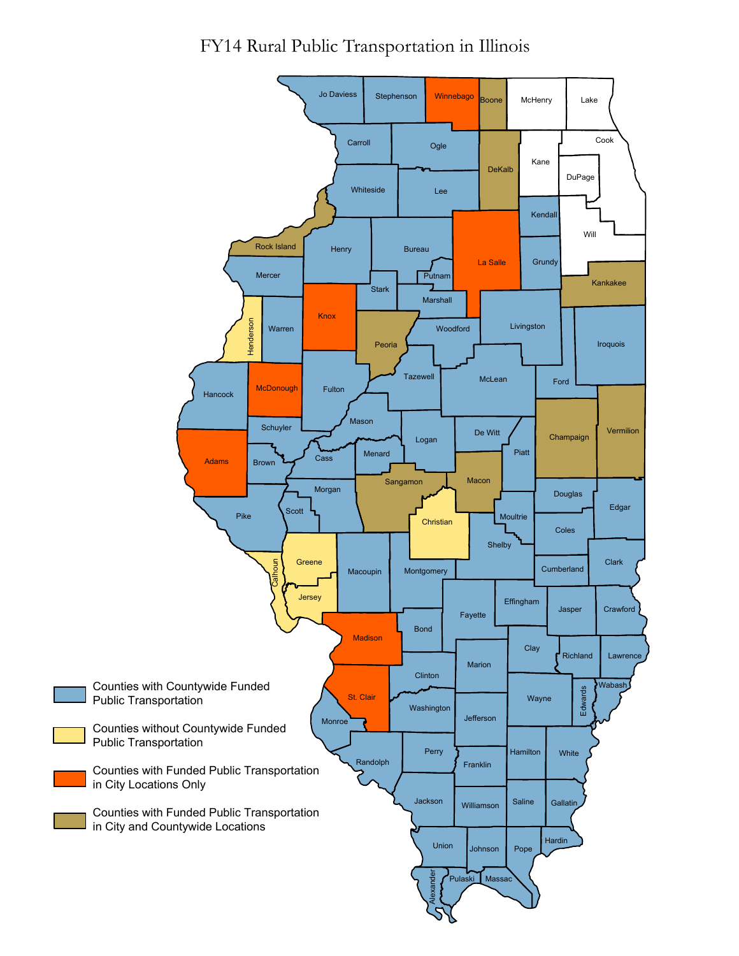## FY14 Rural Public Transportation in Illinois